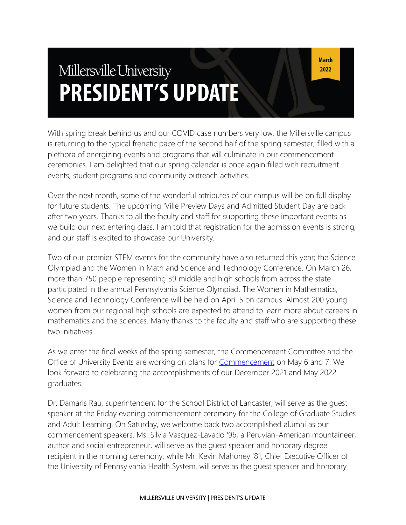# Millersville University **PRESIDENT'S UPDATE**

With spring break behind us and our COVID case numbers very low, the Millersville campus is returning to the typical frenetic pace of the second half of the spring semester, filled with a plethora of energizing events and programs that will culminate in our commencement ceremonies. I am delighted that our spring calendar is once again filled with recruitment events, student programs and community outreach activities.

Over the next month, some of the wonderful attributes of our campus will be on full display for future students. The upcoming 'Ville Preview Days and Admitted Student Day are back after two years. Thanks to all the faculty and staff for supporting these important events as we build our next entering class. I am told that registration for the admission events is strong, and our staff is excited to showcase our University.

Two of our premier STEM events for the community have also returned this year; the Science Olympiad and the Women in Math and Science and Technology Conference. On March 26, more than 750 people representing 39 middle and high schools from across the state participated in the annual Pennsylvania Science Olympiad. The Women in Mathematics, Science and Technology Conference will be held on April 5 on campus. Almost 200 young women from our regional high schools are expected to attend to learn more about careers in mathematics and the sciences. Many thanks to the faculty and staff who are supporting these two initiatives.

As we enter the final weeks of the spring semester, the Commencement Committee and the Office of University Events are working on plans for [Commencement](https://www.millersville.edu/commencement/index.php) on May 6 and 7. We look forward to celebrating the accomplishments of our December 2021 and May 2022 graduates.

Dr. Damaris Rau, superintendent for the School District of Lancaster, will serve as the guest speaker at the Friday evening commencement ceremony for the College of Graduate Studies and Adult Learning. On Saturday, we welcome back two accomplished alumni as our commencement speakers. Ms. Silvia Vasquez-Lavado '96, a Peruvian-American mountaineer, author and social entrepreneur, will serve as the guest speaker and honorary degree recipient in the morning ceremony, while Mr. Kevin Mahoney '81, Chief Executive Officer of the University of Pennsylvania Health System, will serve as the guest speaker and honorary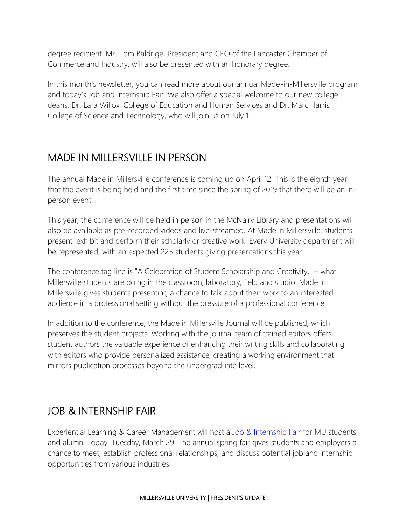degree recipient. Mr. Tom Baldrige, President and CEO of the Lancaster Chamber of Commerce and Industry, will also be presented with an honorary degree.

In this month's newsletter, you can read more about our annual Made-in-Millersville program and today's Job and Internship Fair. We also offer a special welcome to our new college deans, Dr. Lara Willox, College of Education and Human Services and Dr. Marc Harris, College of Science and Technology, who will join us on July 1.

### MADE IN MILLERSVILLE IN PERSON

The annual Made in Millersville conference is coming up on April 12. This is the eighth year that the event is being held and the first time since the spring of 2019 that there will be an inperson event.

This year, the conference will be held in person in the McNairy Library and presentations will also be available as pre-recorded videos and live-streamed. At Made in Millersville, students present, exhibit and perform their scholarly or creative work. Every University department will be represented, with an expected 225 students giving presentations this year.

The conference tag line is "A Celebration of Student Scholarship and Creativity," – what Millersville students are doing in the classroom, laboratory, field and studio. Made in Millersville gives students presenting a chance to talk about their work to an interested audience in a professional setting without the pressure of a professional conference.

In addition to the conference, the Made in Millersville Journal will be published, which preserves the student projects. Working with the journal team of trained editors offers student authors the valuable experience of enhancing their writing skills and collaborating with editors who provide personalized assistance, creating a working environment that mirrors publication processes beyond the undergraduate level.

### JOB & INTERNSHIP FAIR

Experiential Learning & Career Management will host a [Job & Internship Fair](https://www.millersville.edu/elcm/fairs-events/job-internship-fair.php) for MU students and alumni Today, Tuesday, March 29. The annual spring fair gives students and employers a chance to meet, establish professional relationships, and discuss potential job and internship opportunities from various industries.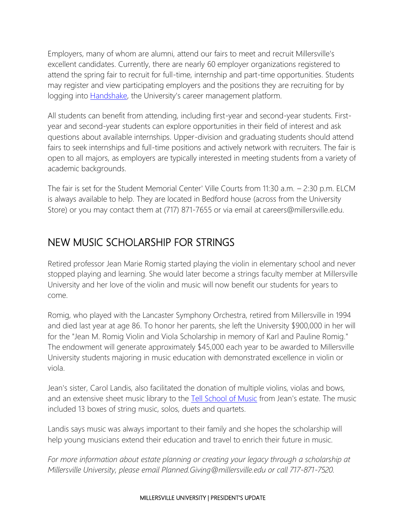Employers, many of whom are alumni, attend our fairs to meet and recruit Millersville's excellent candidates. Currently, there are nearly 60 employer organizations registered to attend the spring fair to recruit for full-time, internship and part-time opportunities. Students may register and view participating employers and the positions they are recruiting for by logging into **Handshake**, the University's career management platform.

All students can benefit from attending, including first-year and second-year students. Firstyear and second-year students can explore opportunities in their field of interest and ask questions about available internships. Upper-division and graduating students should attend fairs to seek internships and full-time positions and actively network with recruiters. The fair is open to all majors, as employers are typically interested in meeting students from a variety of academic backgrounds.

The fair is set for the Student Memorial Center' Ville Courts from 11:30 a.m. – 2:30 p.m. ELCM is always available to help. They are located in Bedford house (across from the University Store) or you may contact them at (717) 871-7655 or via email at careers@millersville.edu.

### NEW MUSIC SCHOLARSHIP FOR STRINGS

Retired professor Jean Marie Romig started playing the violin in elementary school and never stopped playing and learning. She would later become a strings faculty member at Millersville University and her love of the violin and music will now benefit our students for years to come.

Romig, who played with the Lancaster Symphony Orchestra, retired from Millersville in 1994 and died last year at age 86. To honor her parents, she left the University \$900,000 in her will for the "Jean M. Romig Violin and Viola Scholarship in memory of Karl and Pauline Romig." The endowment will generate approximately \$45,000 each year to be awarded to Millersville University students majoring in music education with demonstrated excellence in violin or viola.

Jean's sister, Carol Landis, also facilitated the donation of multiple violins, violas and bows, and an extensive sheet music library to the **[Tell School of Music](https://www.millersville.edu/music/)** from Jean's estate. The music included 13 boxes of string music, solos, duets and quartets.

Landis says music was always important to their family and she hopes the scholarship will help young musicians extend their education and travel to enrich their future in music.

*For more information about estate planning or creating your legacy through a scholarship at Millersville University, please email Planned.Giving@millersville.edu or call 717-871-7520.*

#### MILLERSVILLE UNIVERSITY | PRESIDENT'S UPDATE